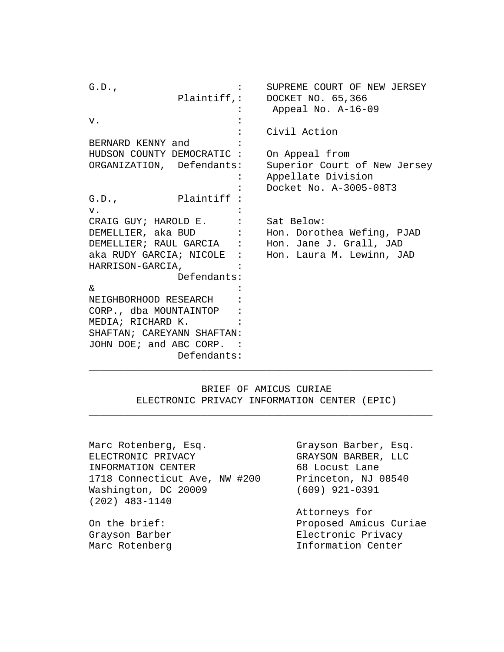G.D., SUPREME COURT OF NEW JERSEY Plaintiff,: DOCKET NO. 65,366 : Appeal No. A-16-09  $\mathbf{v}$ .  $\qquad \qquad$  : : Civil Action BERNARD KENNY and : HUDSON COUNTY DEMOCRATIC : On Appeal from ORGANIZATION, Defendants: Superior Court of New Jersey : Appellate Division : Docket No. A-3005-08T3<br>Plaintiff :  $G.D.,$  $\mathbf{v}$ .  $\qquad \qquad$  : CRAIG GUY; HAROLD E. : Sat Below: DEMELLIER, aka BUD : Hon. Dorothea Wefing, PJAD DEMELLIER; RAUL GARCIA : Hon. Jane J. Grall, JAD aka RUDY GARCIA; NICOLE : Hon. Laura M. Lewinn, JAD HARRISON-GARCIA, : Defendants:  $\delta$ NEIGHBORHOOD RESEARCH : CORP., dba MOUNTAINTOP : MEDIA; RICHARD K. : SHAFTAN; CAREYANN SHAFTAN: JOHN DOE; and ABC CORP. : Defendants: \_\_\_\_\_\_\_\_\_\_\_\_\_\_\_\_\_\_\_\_\_\_\_\_\_\_\_\_\_\_\_\_\_\_\_\_\_\_\_\_\_\_\_\_\_\_\_\_\_\_\_\_\_\_\_\_\_\_

> BRIEF OF AMICUS CURIAE ELECTRONIC PRIVACY INFORMATION CENTER (EPIC)

\_\_\_\_\_\_\_\_\_\_\_\_\_\_\_\_\_\_\_\_\_\_\_\_\_\_\_\_\_\_\_\_\_\_\_\_\_\_\_\_\_\_\_\_\_\_\_\_\_\_\_\_\_\_\_\_\_\_

Marc Rotenberg, Esq.<br>ELECTRONIC PRIVACY GRAYSON BARBER, LLC ELECTRONIC PRIVACY GRAYSON BARBER,<br>INFORMATION CENTER 68 Locust Lane INFORMATION CENTER 68 Locust Lane<br>1718 Connecticut Ave, NW #200 Princeton, NJ 08540 1718 Connecticut Ave, NW #200 Princeton, NJ<br>Washington, DC 20009 (609) 921-0391 Washington, DC 20009 (202) 483-1140

Attorneys for On the brief: Proposed Amicus Curiae Electronic Privacy Marc Rotenberg **Information Center**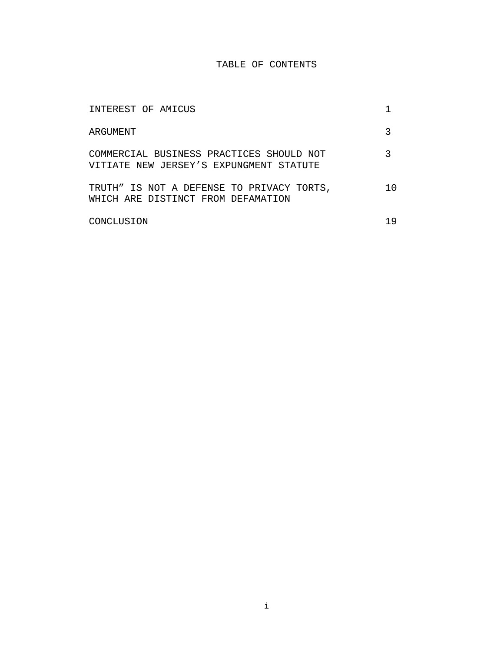# TABLE OF CONTENTS

| INTEREST OF AMICUS                                                                  |    |
|-------------------------------------------------------------------------------------|----|
| ARGUMENT                                                                            |    |
| COMMERCIAL BUSINESS PRACTICES SHOULD NOT<br>VITIATE NEW JERSEY'S EXPUNGMENT STATUTE |    |
| TRUTH" IS NOT A DEFENSE TO PRIVACY TORTS,<br>WHICH ARE DISTINCT FROM DEFAMATION     | 10 |
| CONCLUSION                                                                          | 19 |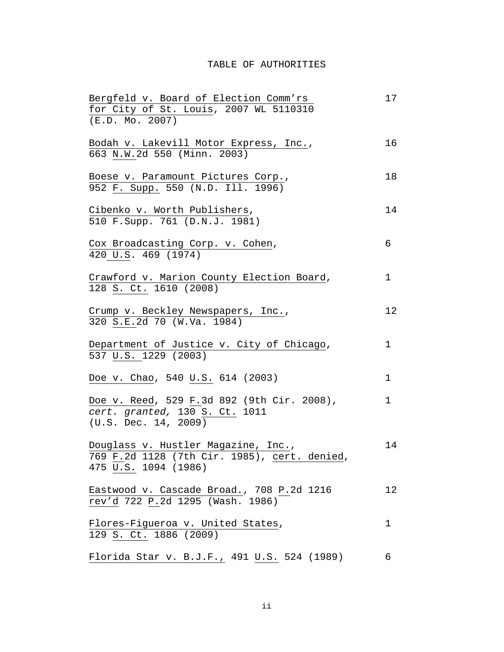# TABLE OF AUTHORITIES

| Bergfeld v. Board of Election Comm'rs              | 17           |
|----------------------------------------------------|--------------|
| for City of St. Louis, 2007 WL 5110310             |              |
| (E.D. MO. 2007)                                    |              |
| Bodah v. Lakevill Motor Express, Inc.,             | 16           |
| 663 N.W.2d 550 (Minn. 2003)                        |              |
|                                                    |              |
| Boese v. Paramount Pictures Corp.,                 | 18           |
| 952 F. Supp. 550 (N.D. Ill. 1996)                  |              |
|                                                    |              |
| Cibenko v. Worth Publishers,                       | 14           |
| 510 F.Supp. 761 (D.N.J. 1981)                      |              |
|                                                    |              |
| Cox Broadcasting Corp. v. Cohen,                   | 6            |
| 420 U.S. 469 (1974)                                |              |
|                                                    |              |
| Crawford v. Marion County Election Board,          | $\mathbf 1$  |
| 128 S. Ct. 1610 (2008)                             |              |
|                                                    |              |
| Crump v. Beckley Newspapers, Inc.,                 | 12           |
| 320 S.E.2d 70 (W.Va. 1984)                         |              |
|                                                    |              |
| Department of Justice v. City of Chicago,          | $\mathbf{1}$ |
| 537 U.S. 1229 (2003)                               |              |
|                                                    |              |
| Doe v. Chao, 540 U.S. 614 (2003)                   | $\mathbf 1$  |
|                                                    |              |
| Doe v. Reed, 529 F.3d 892 (9th Cir. 2008),         | $\mathbf{1}$ |
| cert. granted, 130 S. Ct. 1011                     |              |
| (U.S. Dec. 14, 2009)                               |              |
|                                                    |              |
| Douglass v. Hustler Magazine, Inc.,                | 14           |
| 769 F.2d 1128 (7th Cir. 1985), cert. denied,       |              |
| 475 U.S. 1094 (1986)                               |              |
|                                                    |              |
| Eastwood v. Cascade Broad., 708 P.2d 1216          | 12           |
| rev'd 722 P.2d 1295 (Wash. 1986)                   |              |
|                                                    |              |
| Flores-Figueroa v. United States,                  | 1            |
| 129 S. Ct. 1886 (2009)                             |              |
|                                                    |              |
| <u>Florida Star v. B.J.F., 491 U.S.</u> 524 (1989) | 6            |
|                                                    |              |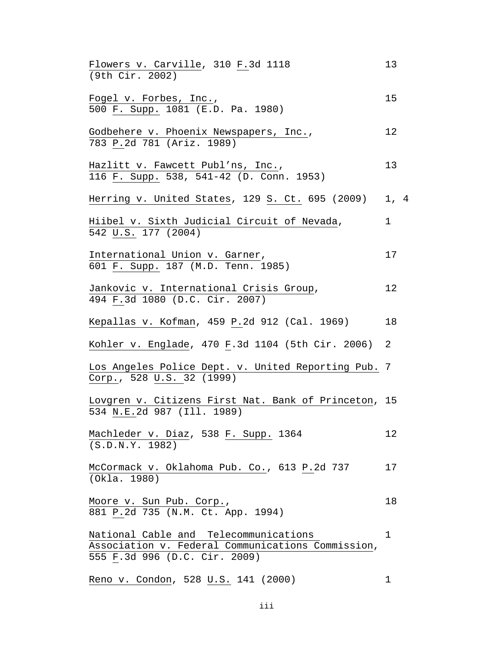| Flowers v. Carville, 310 F.3d 1118<br>(9th Cir. 2002)                                                                       | 13   |  |
|-----------------------------------------------------------------------------------------------------------------------------|------|--|
| Fogel v. Forbes, Inc.,<br>500 F. Supp. 1081 (E.D. Pa. 1980)                                                                 | 15   |  |
| Godbehere v. Phoenix Newspapers, Inc.,<br>783 P.2d 781 (Ariz. 1989)                                                         | 12   |  |
| Hazlitt v. Fawcett Publ'ns, Inc.,<br>116 F. Supp. 538, 541-42 (D. Conn. 1953)                                               | 13   |  |
| Herring v. United States, 129 S. Ct. 695 (2009)                                                                             | 1, 4 |  |
| Hiibel v. Sixth Judicial Circuit of Nevada,<br>542 U.S. 177 (2004)                                                          | 1    |  |
| International Union v. Garner,<br>601 F. Supp. 187 (M.D. Tenn. 1985)                                                        | 17   |  |
| Jankovic v. International Crisis Group,<br>494 F.3d 1080 (D.C. Cir. 2007)                                                   | 12   |  |
| Kepallas v. Kofman, 459 P.2d 912 (Cal. 1969)                                                                                | 18   |  |
| Kohler v. Englade, 470 F.3d 1104 (5th Cir. 2006)                                                                            | 2    |  |
| Los Angeles Police Dept. v. United Reporting Pub. 7<br>Corp., 528 U.S. 32 (1999)                                            |      |  |
| Lovgren v. Citizens First Nat. Bank of Princeton, 15<br>534 N.E.2d 987 (Ill. 1989)                                          |      |  |
| Machleder v. Diaz, 538 F. Supp. 1364<br>(S.D.N.Y. 1982)                                                                     | 12   |  |
| McCormack v. Oklahoma Pub. Co., 613 P.2d 737<br>(Okla. 1980)                                                                | 17   |  |
| Moore v. Sun Pub. Corp.,<br>881 P.2d 735 (N.M. Ct. App. 1994)                                                               | 18   |  |
| National Cable and Telecommunications<br>Association v. Federal Communications Commission,<br>555 F.3d 996 (D.C. Cir. 2009) | 1    |  |
| Reno v. Condon, 528 U.S. 141 (2000)                                                                                         | 1    |  |

iii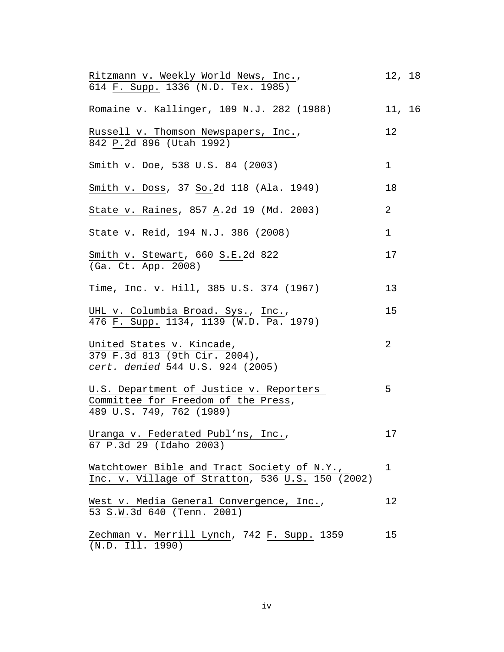| Ritzmann v. Weekly World News, Inc.,<br>614 F. Supp. 1336 (N.D. Tex. 1985)                                 | 12, 18      |  |
|------------------------------------------------------------------------------------------------------------|-------------|--|
| Romaine v. Kallinger, 109 N.J. 282 (1988)                                                                  | 11, 16      |  |
| Russell v. Thomson Newspapers, Inc.,<br>842 P.2d 896 (Utah 1992)                                           | 12          |  |
| Smith v. Doe, 538 U.S. 84 (2003)                                                                           | 1           |  |
| Smith v. Doss, 37 So.2d 118 (Ala. 1949)                                                                    | 18          |  |
| State v. Raines, 857 A.2d 19 (Md. 2003)                                                                    | 2           |  |
| State v. Reid, 194 N.J. 386 (2008)                                                                         | $\mathbf 1$ |  |
| Smith v. Stewart, 660 S.E.2d 822<br>(Ga. Ct. App. 2008)                                                    | 17          |  |
| Time, Inc. v. Hill, 385 U.S. 374 (1967)                                                                    | 13          |  |
| UHL v. Columbia Broad. Sys., Inc.,<br>476 F. Supp. 1134, 1139 (W.D. Pa. 1979)                              | 15          |  |
| United States v. Kincade,<br>379 F.3d 813 (9th Cir. 2004),<br>cert. denied 544 U.S. 924 (2005)             | 2           |  |
| U.S. Department of Justice v. Reporters<br>Committee for Freedom of the Press,<br>489 U.S. 749, 762 (1989) | 5           |  |
| Uranga v. Federated Publ'ns, Inc.,<br>67 P.3d 29 (Idaho 2003)                                              | 17          |  |
| Watchtower Bible and Tract Society of N.Y.,<br>Inc. v. Village of Stratton, 536 U.S. 150 (2002)            | 1           |  |
| West v. Media General Convergence, Inc.,<br>53 S.W.3d 640 (Tenn. 2001)                                     | 12          |  |
| Zechman v. Merrill Lynch, 742 F. Supp. 1359<br>(N.D. Ill. 1990)                                            | 15          |  |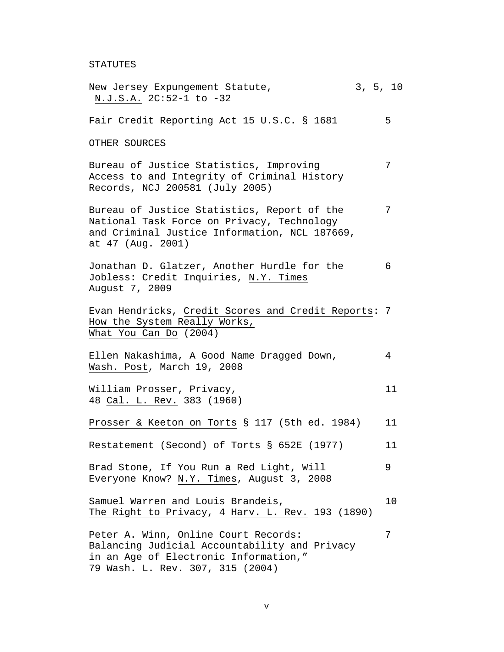STATUTES

| New Jersey Expungement Statute,<br>N.J.S.A. 2C:52-1 to -32                                                                                                         |  | 3, 5, 10 |
|--------------------------------------------------------------------------------------------------------------------------------------------------------------------|--|----------|
| Fair Credit Reporting Act 15 U.S.C. § 1681                                                                                                                         |  | 5        |
| OTHER SOURCES                                                                                                                                                      |  |          |
| Bureau of Justice Statistics, Improving<br>Access to and Integrity of Criminal History<br>Records, NCJ 200581 (July 2005)                                          |  | 7        |
| Bureau of Justice Statistics, Report of the<br>National Task Force on Privacy, Technology<br>and Criminal Justice Information, NCL 187669,<br>at 47 (Aug. 2001)    |  | 7        |
| Jonathan D. Glatzer, Another Hurdle for the<br>Jobless: Credit Inquiries, N.Y. Times<br>August 7, 2009                                                             |  | 6        |
| Evan Hendricks, Credit Scores and Credit Reports: 7<br>How the System Really Works,<br>What You Can Do (2004)                                                      |  |          |
| Ellen Nakashima, A Good Name Dragged Down,<br>Wash. Post, March 19, 2008                                                                                           |  | 4        |
| William Prosser, Privacy,<br>48 Cal. L. Rev. 383 (1960)                                                                                                            |  | 11       |
| Prosser & Keeton on Torts § 117 (5th ed. 1984)                                                                                                                     |  | 11       |
| Restatement (Second) of Torts § 652E (1977)                                                                                                                        |  | 11       |
| Brad Stone, If You Run a Red Light, Will<br>Everyone Know? N.Y. Times, August 3, 2008                                                                              |  | 9        |
| Samuel Warren and Louis Brandeis,<br>The Right to Privacy, 4 Harv. L. Rev. 193 (1890)                                                                              |  | 10       |
| Peter A. Winn, Online Court Records:<br>Balancing Judicial Accountability and Privacy<br>in an Age of Electronic Information,"<br>79 Wash. L. Rev. 307, 315 (2004) |  | 7        |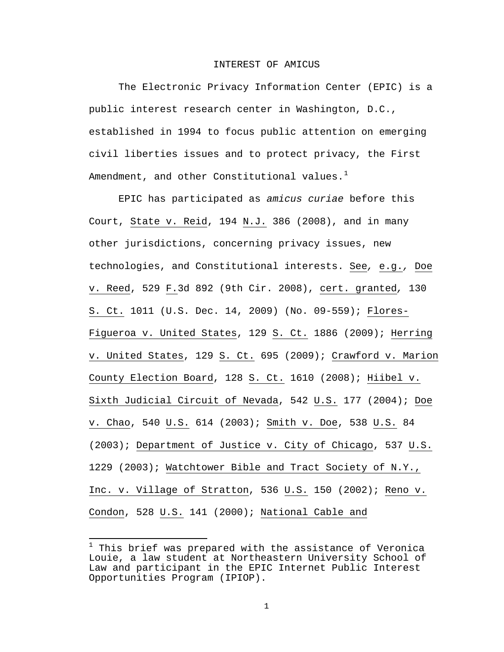#### INTEREST OF AMICUS

The Electronic Privacy Information Center (EPIC) is a public interest research center in Washington, D.C., established in 1994 to focus public attention on emerging civil liberties issues and to protect privacy, the First Amendment, and other Constitutional values. $<sup>1</sup>$  $<sup>1</sup>$  $<sup>1</sup>$ </sup>

EPIC has participated as *amicus curiae* before this Court, State v. Reid, 194 N.J. 386 (2008), and in many other jurisdictions, concerning privacy issues, new technologies, and Constitutional interests. See*,* e.g.*,* Doe v. Reed, 529 F.3d 892 (9th Cir. 2008), cert. granted*,* 130 S. Ct. 1011 (U.S. Dec. 14, 2009) (No. 09-559); Flores-Figueroa v. United States, 129 S. Ct. 1886 (2009); Herring v. United States, 129 S. Ct. 695 (2009); Crawford v. Marion County Election Board, 128 S. Ct. 1610 (2008); Hiibel v. Sixth Judicial Circuit of Nevada, 542 U.S. 177 (2004); Doe v. Chao, 540 U.S. 614 (2003); Smith v. Doe, 538 U.S. 84 (2003); Department of Justice v. City of Chicago, 537 U.S. 1229 (2003); Watchtower Bible and Tract Society of N.Y., Inc. v. Village of Stratton, 536 U.S. 150 (2002); Reno v. Condon, 528 U.S. 141 (2000); National Cable and

<span id="page-6-0"></span> $^1$  This brief was prepared with the assistance of Veronica Louie, a law student at Northeastern University School of Law and participant in the EPIC Internet Public Interest Opportunities Program (IPIOP).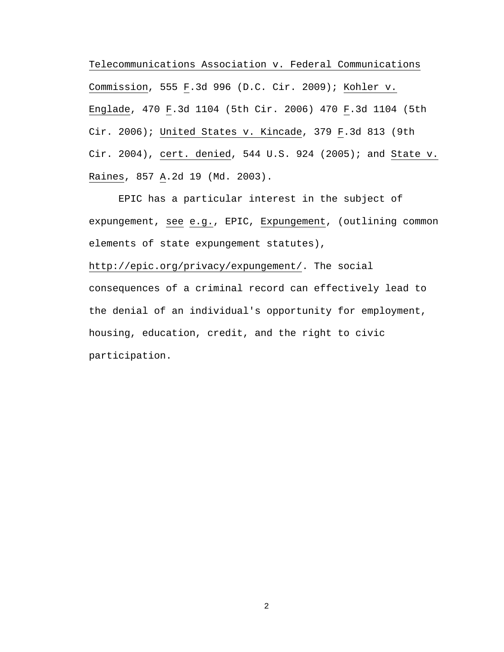Telecommunications Association v. Federal Communications Commission, 555 F.3d 996 (D.C. Cir. 2009); Kohler v. Englade, 470 F.3d 1104 (5th Cir. 2006) 470 F.3d 1104 (5th Cir. 2006); United States v. Kincade, 379 F.3d 813 (9th Cir. 2004), cert. denied, 544 U.S. 924 (2005); and State v. Raines, 857 A.2d 19 (Md. 2003).

EPIC has a particular interest in the subject of expungement, see e.g., EPIC, Expungement, (outlining common elements of state expungement statutes), http://epic.org/privacy/expungement/. The social consequences of a criminal record can effectively lead to the denial of an individual's opportunity for employment, housing, education, credit, and the right to civic participation.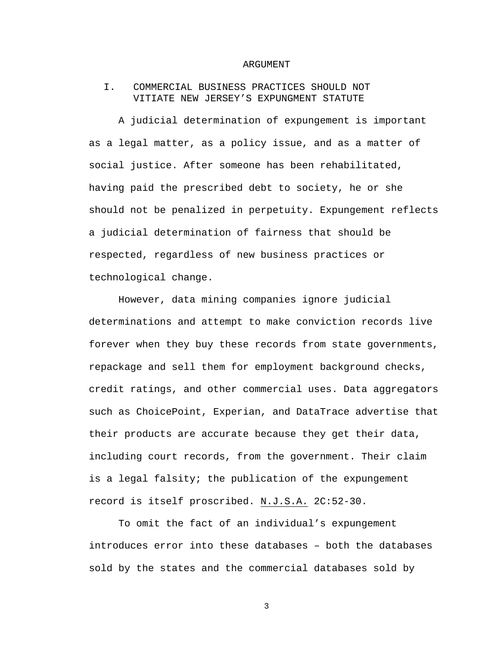#### ARGUMENT

### I. COMMERCIAL BUSINESS PRACTICES SHOULD NOT VITIATE NEW JERSEY'S EXPUNGMENT STATUTE

A judicial determination of expungement is important as a legal matter, as a policy issue, and as a matter of social justice. After someone has been rehabilitated, having paid the prescribed debt to society, he or she should not be penalized in perpetuity. Expungement reflects a judicial determination of fairness that should be respected, regardless of new business practices or technological change.

However, data mining companies ignore judicial determinations and attempt to make conviction records live forever when they buy these records from state governments, repackage and sell them for employment background checks, credit ratings, and other commercial uses. Data aggregators such as ChoicePoint, Experian, and DataTrace advertise that their products are accurate because they get their data, including court records, from the government. Their claim is a legal falsity; the publication of the expungement record is itself proscribed. N.J.S.A. 2C:52-30.

To omit the fact of an individual's expungement introduces error into these databases – both the databases sold by the states and the commercial databases sold by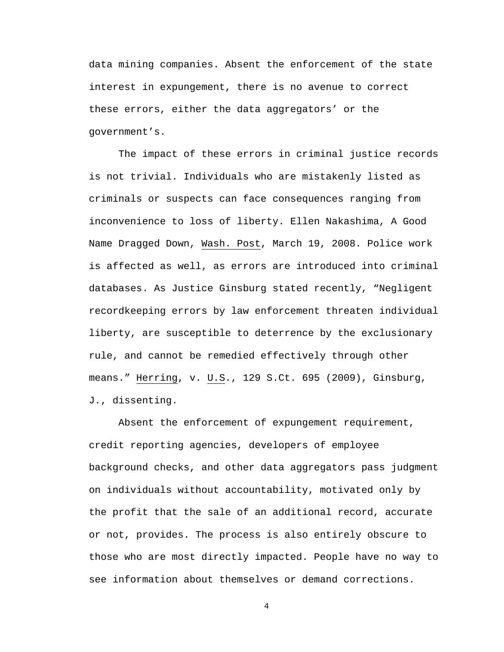data mining companies. Absent the enforcement of the state interest in expungement, there is no avenue to correct these errors, either the data aggregators' or the government's.

The impact of these errors in criminal justice records is not trivial. Individuals who are mistakenly listed as criminals or suspects can face consequences ranging from inconvenience to loss of liberty. Ellen Nakashima, A Good Name Dragged Down, Wash. Post, March 19, 2008. Police work is affected as well, as errors are introduced into criminal databases. As Justice Ginsburg stated recently, "Negligent recordkeeping errors by law enforcement threaten individual liberty, are susceptible to deterrence by the exclusionary rule, and cannot be remedied effectively through other means." Herring, v. U.S., 129 S.Ct. 695 (2009), Ginsburg, J., dissenting.

Absent the enforcement of expungement requirement, credit reporting agencies, developers of employee background checks, and other data aggregators pass judgment on individuals without accountability, motivated only by the profit that the sale of an additional record, accurate or not, provides. The process is also entirely obscure to those who are most directly impacted. People have no way to see information about themselves or demand corrections.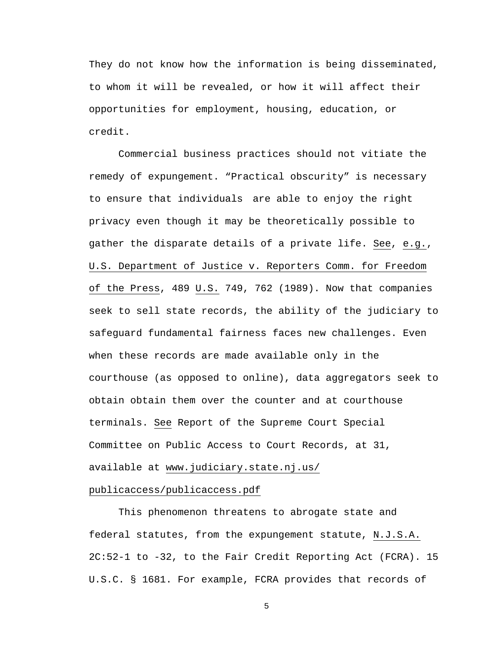They do not know how the information is being disseminated, to whom it will be revealed, or how it will affect their opportunities for employment, housing, education, or credit.

Commercial business practices should not vitiate the remedy of expungement. "Practical obscurity" is necessary to ensure that individuals are able to enjoy the right privacy even though it may be theoretically possible to gather the disparate details of a private life. See, e.g., U.S. Department of Justice v. Reporters Comm. for Freedom of the Press, 489 U.S. 749, 762 (1989). Now that companies seek to sell state records, the ability of the judiciary to safeguard fundamental fairness faces new challenges. Even when these records are made available only in the courthouse (as opposed to online), data aggregators seek to obtain obtain them over the counter and at courthouse terminals. See Report of the Supreme Court Special Committee on Public Access to Court Records, at 31, available at www.judiciary.state.nj.us/

### publicaccess/publicaccess.pdf

This phenomenon threatens to abrogate state and federal statutes, from the expungement statute, N.J.S.A. 2C:52-1 to -32, to the Fair Credit Reporting Act (FCRA). 15 U.S.C. § 1681. For example, FCRA provides that records of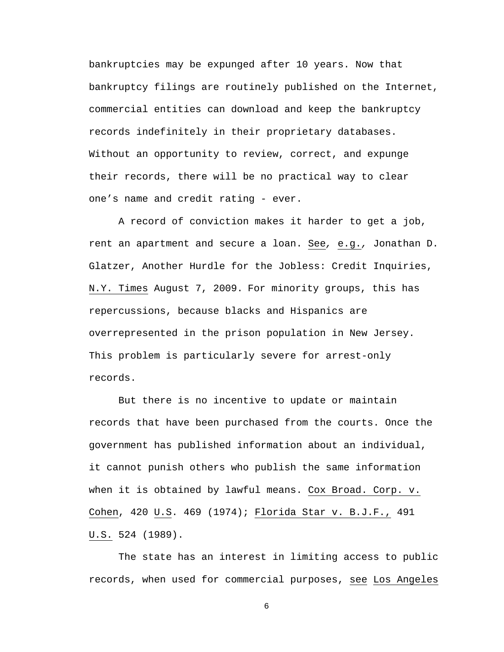bankruptcies may be expunged after 10 years. Now that bankruptcy filings are routinely published on the Internet, commercial entities can download and keep the bankruptcy records indefinitely in their proprietary databases. Without an opportunity to review, correct, and expunge their records, there will be no practical way to clear one's name and credit rating - ever.

A record of conviction makes it harder to get a job, rent an apartment and secure a loan. See*,* e.g.*,* Jonathan D. Glatzer, Another Hurdle for the Jobless: Credit Inquiries, N.Y. Times August 7, 2009. For minority groups, this has repercussions, because blacks and Hispanics are overrepresented in the prison population in New Jersey. This problem is particularly severe for arrest-only records.

But there is no incentive to update or maintain records that have been purchased from the courts. Once the government has published information about an individual, it cannot punish others who publish the same information when it is obtained by lawful means. Cox Broad. Corp. v. Cohen, 420 U.S. 469 (1974); Florida Star v. B.J.F., 491 U.S. 524 (1989).

The state has an interest in limiting access to public records, when used for commercial purposes, see Los Angeles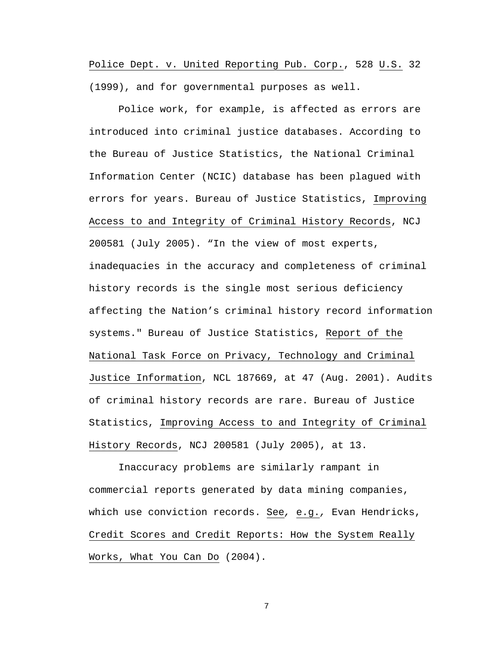Police Dept. v. United Reporting Pub. Corp., 528 U.S. 32 (1999), and for governmental purposes as well.

Police work, for example, is affected as errors are introduced into criminal justice databases. According to the Bureau of Justice Statistics, the National Criminal Information Center (NCIC) database has been plagued with errors for years. Bureau of Justice Statistics, Improving Access to and Integrity of Criminal History Records, NCJ 200581 (July 2005). "In the view of most experts, inadequacies in the accuracy and completeness of criminal history records is the single most serious deficiency affecting the Nation's criminal history record information systems." Bureau of Justice Statistics, Report of the National Task Force on Privacy, Technology and Criminal Justice Information, NCL 187669, at 47 (Aug. 2001). Audits of criminal history records are rare. Bureau of Justice Statistics, Improving Access to and Integrity of Criminal History Records, NCJ 200581 (July 2005), at 13.

Inaccuracy problems are similarly rampant in commercial reports generated by data mining companies, which use conviction records. See*,* e.g.*,* Evan Hendricks, Credit Scores and Credit Reports: How the System Really Works, What You Can Do (2004).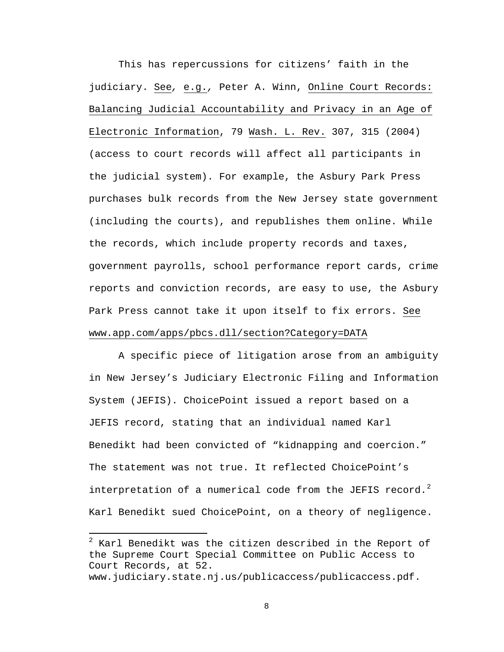This has repercussions for citizens' faith in the judiciary. See*,* e.g.*,* Peter A. Winn, Online Court Records: Balancing Judicial Accountability and Privacy in an Age of Electronic Information, 79 Wash. L. Rev. 307, 315 (2004) (access to court records will affect all participants in the judicial system). For example, the Asbury Park Press purchases bulk records from the New Jersey state government (including the courts), and republishes them online. While the records, which include property records and taxes, government payrolls, school performance report cards, crime reports and conviction records, are easy to use, the Asbury Park Press cannot take it upon itself to fix errors. See www.app.com/apps/pbcs.dll/section?Category=DATA

A specific piece of litigation arose from an ambiguity in New Jersey's Judiciary Electronic Filing and Information System (JEFIS). ChoicePoint issued a report based on a JEFIS record, stating that an individual named Karl Benedikt had been convicted of "kidnapping and coercion." The statement was not true. It reflected ChoicePoint's interpretation of a numerical code from the JEFIS record.<sup>[2](#page-13-0)</sup> Karl Benedikt sued ChoicePoint, on a theory of negligence.

 $\overline{a}$ 

<span id="page-13-0"></span> $2$  Karl Benedikt was the citizen described in the Report of the Supreme Court Special Committee on Public Access to Court Records, at 52. www.judiciary.state.nj.us/publicaccess/publicaccess.pdf.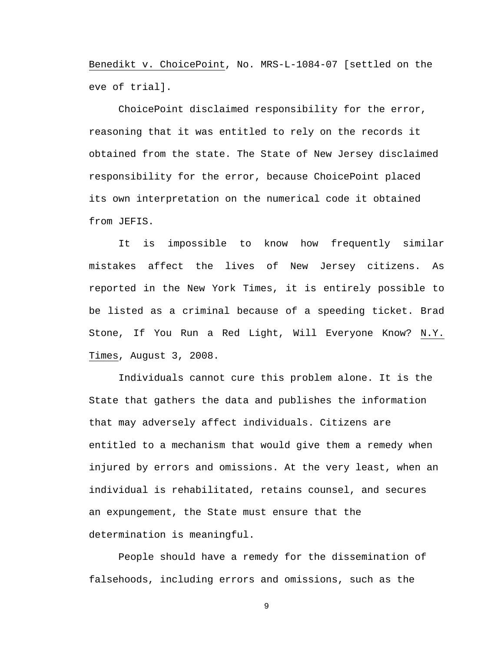Benedikt v. ChoicePoint, No. MRS-L-1084-07 [settled on the eve of trial].

ChoicePoint disclaimed responsibility for the error, reasoning that it was entitled to rely on the records it obtained from the state. The State of New Jersey disclaimed responsibility for the error, because ChoicePoint placed its own interpretation on the numerical code it obtained from JEFIS.

It is impossible to know how frequently similar mistakes affect the lives of New Jersey citizens. As reported in the New York Times, it is entirely possible to be listed as a criminal because of a speeding ticket. Brad Stone, If You Run a Red Light, Will Everyone Know? N.Y. Times, August 3, 2008.

Individuals cannot cure this problem alone. It is the State that gathers the data and publishes the information that may adversely affect individuals. Citizens are entitled to a mechanism that would give them a remedy when injured by errors and omissions. At the very least, when an individual is rehabilitated, retains counsel, and secures an expungement, the State must ensure that the determination is meaningful.

People should have a remedy for the dissemination of falsehoods, including errors and omissions, such as the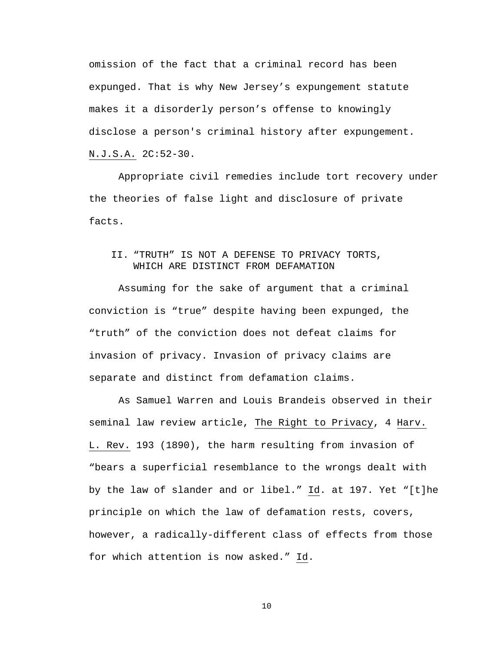omission of the fact that a criminal record has been expunged. That is why New Jersey's expungement statute makes it a disorderly person's offense to knowingly disclose a person's criminal history after expungement. N.J.S.A. 2C:52-30.

Appropriate civil remedies include tort recovery under the theories of false light and disclosure of private facts.

# II. "TRUTH" IS NOT A DEFENSE TO PRIVACY TORTS, WHICH ARE DISTINCT FROM DEFAMATION

Assuming for the sake of argument that a criminal conviction is "true" despite having been expunged, the "truth" of the conviction does not defeat claims for invasion of privacy. Invasion of privacy claims are separate and distinct from defamation claims.

As Samuel Warren and Louis Brandeis observed in their seminal law review article, The Right to Privacy, 4 Harv. L. Rev. 193 (1890), the harm resulting from invasion of "bears a superficial resemblance to the wrongs dealt with by the law of slander and or libel." Id. at 197. Yet "[t]he principle on which the law of defamation rests, covers, however, a radically-different class of effects from those for which attention is now asked." Id.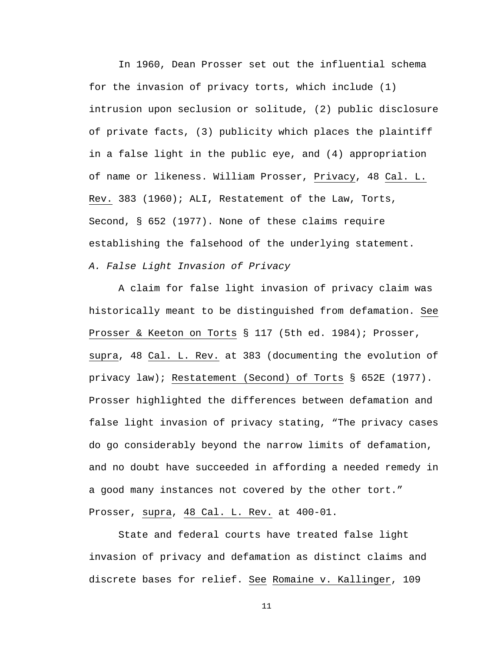In 1960, Dean Prosser set out the influential schema for the invasion of privacy torts, which include (1) intrusion upon seclusion or solitude, (2) public disclosure of private facts, (3) publicity which places the plaintiff in a false light in the public eye, and (4) appropriation of name or likeness. William Prosser, Privacy, 48 Cal. L. Rev. 383 (1960); ALI, Restatement of the Law, Torts, Second, § 652 (1977). None of these claims require establishing the falsehood of the underlying statement. *A. False Light Invasion of Privacy* 

A claim for false light invasion of privacy claim was historically meant to be distinguished from defamation. See Prosser & Keeton on Torts § 117 (5th ed. 1984); Prosser, supra, 48 Cal. L. Rev. at 383 (documenting the evolution of privacy law); Restatement (Second) of Torts § 652E (1977). Prosser highlighted the differences between defamation and false light invasion of privacy stating, "The privacy cases do go considerably beyond the narrow limits of defamation, and no doubt have succeeded in affording a needed remedy in a good many instances not covered by the other tort." Prosser, supra, 48 Cal. L. Rev. at 400-01.

State and federal courts have treated false light invasion of privacy and defamation as distinct claims and discrete bases for relief. See Romaine v. Kallinger, 109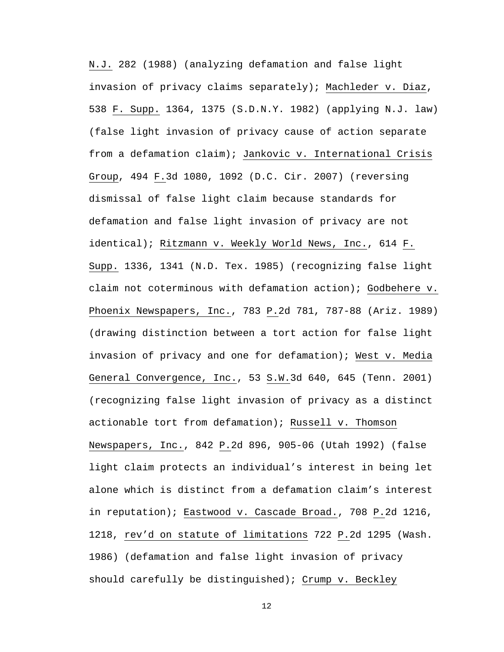N.J. 282 (1988) (analyzing defamation and false light invasion of privacy claims separately); Machleder v. Diaz, 538 F. Supp. 1364, 1375 (S.D.N.Y. 1982) (applying N.J. law) (false light invasion of privacy cause of action separate from a defamation claim); Jankovic v. International Crisis Group, 494 F.3d 1080, 1092 (D.C. Cir. 2007) (reversing dismissal of false light claim because standards for defamation and false light invasion of privacy are not identical); Ritzmann v. Weekly World News, Inc., 614 F. Supp. 1336, 1341 (N.D. Tex. 1985) (recognizing false light claim not coterminous with defamation action); Godbehere v. Phoenix Newspapers, Inc., 783 P.2d 781, 787-88 (Ariz. 1989) (drawing distinction between a tort action for false light invasion of privacy and one for defamation); West v. Media General Convergence, Inc., 53 S.W.3d 640, 645 (Tenn. 2001) (recognizing false light invasion of privacy as a distinct actionable tort from defamation); Russell v. Thomson Newspapers, Inc., 842 P.2d 896, 905-06 (Utah 1992) (false light claim protects an individual's interest in being let alone which is distinct from a defamation claim's interest in reputation); Eastwood v. Cascade Broad., 708 P.2d 1216, 1218, rev'd on statute of limitations 722 P.2d 1295 (Wash. 1986) (defamation and false light invasion of privacy should carefully be distinguished); Crump v. Beckley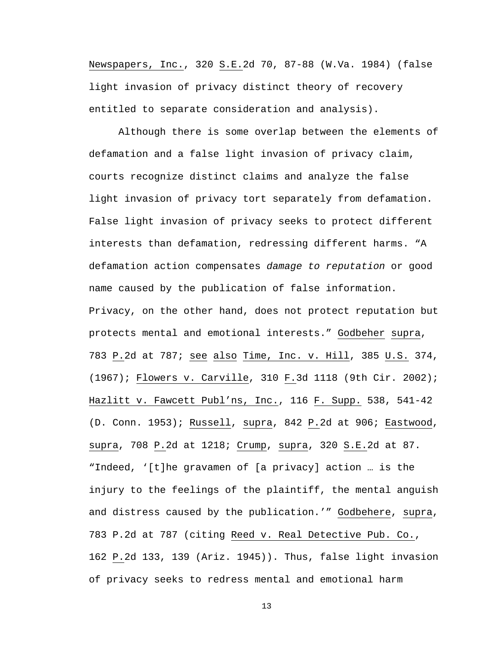Newspapers, Inc., 320 S.E.2d 70, 87-88 (W.Va. 1984) (false light invasion of privacy distinct theory of recovery entitled to separate consideration and analysis).

Although there is some overlap between the elements of defamation and a false light invasion of privacy claim, courts recognize distinct claims and analyze the false light invasion of privacy tort separately from defamation. False light invasion of privacy seeks to protect different interests than defamation, redressing different harms. "A defamation action compensates *damage to reputation* or good name caused by the publication of false information. Privacy, on the other hand, does not protect reputation but protects mental and emotional interests." Godbeher supra, 783 P.2d at 787; see also Time, Inc. v. Hill, 385 U.S. 374, (1967); Flowers v. Carville, 310 F.3d 1118 (9th Cir. 2002); Hazlitt v. Fawcett Publ'ns, Inc., 116 F. Supp. 538, 541-42 (D. Conn. 1953); Russell, supra, 842 P.2d at 906; Eastwood, supra, 708 P.2d at 1218; Crump, supra, 320 S.E.2d at 87. "Indeed, '[t]he gravamen of [a privacy] action … is the injury to the feelings of the plaintiff, the mental anguish and distress caused by the publication.'" Godbehere, supra, 783 P.2d at 787 (citing Reed v. Real Detective Pub. Co., 162 P.2d 133, 139 (Ariz. 1945)). Thus, false light invasion of privacy seeks to redress mental and emotional harm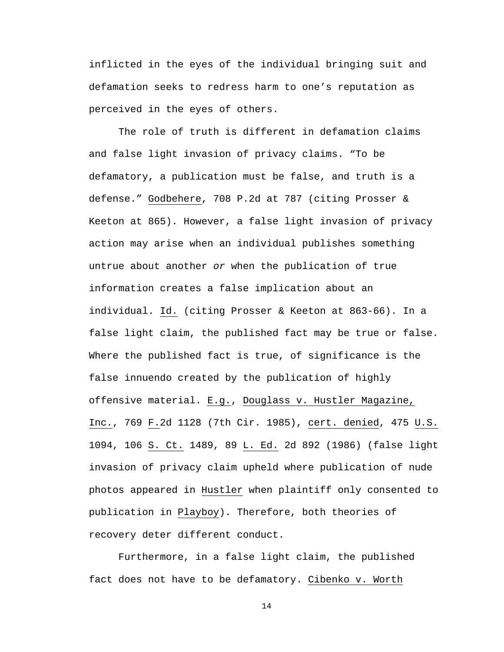inflicted in the eyes of the individual bringing suit and defamation seeks to redress harm to one's reputation as perceived in the eyes of others.

The role of truth is different in defamation claims and false light invasion of privacy claims. "To be defamatory, a publication must be false, and truth is a defense." Godbehere, 708 P.2d at 787 (citing Prosser & Keeton at 865). However, a false light invasion of privacy action may arise when an individual publishes something untrue about another *or* when the publication of true information creates a false implication about an individual. Id. (citing Prosser & Keeton at 863-66). In a false light claim, the published fact may be true or false. Where the published fact is true, of significance is the false innuendo created by the publication of highly offensive material. E.g., Douglass v. Hustler Magazine, Inc., 769 F.2d 1128 (7th Cir. 1985), cert. denied, 475 U.S. 1094, 106 S. Ct. 1489, 89 L. Ed. 2d 892 (1986) (false light invasion of privacy claim upheld where publication of nude photos appeared in Hustler when plaintiff only consented to publication in Playboy). Therefore, both theories of recovery deter different conduct.

Furthermore, in a false light claim, the published fact does not have to be defamatory. Cibenko v. Worth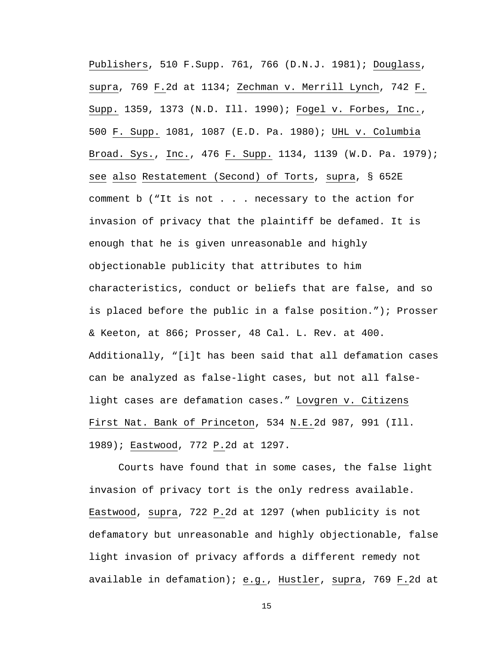Publishers, 510 F.Supp. 761, 766 (D.N.J. 1981); Douglass, supra, 769 F.2d at 1134; Zechman v. Merrill Lynch, 742 F. Supp. 1359, 1373 (N.D. Ill. 1990); Fogel v. Forbes, Inc., 500 F. Supp. 1081, 1087 (E.D. Pa. 1980); UHL v. Columbia Broad. Sys., Inc., 476 F. Supp. 1134, 1139 (W.D. Pa. 1979); see also Restatement (Second) of Torts, supra, § 652E comment b ("It is not . . . necessary to the action for invasion of privacy that the plaintiff be defamed. It is enough that he is given unreasonable and highly objectionable publicity that attributes to him characteristics, conduct or beliefs that are false, and so is placed before the public in a false position."); Prosser & Keeton, at 866; Prosser, 48 Cal. L. Rev. at 400. Additionally, "[i]t has been said that all defamation cases can be analyzed as false-light cases, but not all falselight cases are defamation cases." Lovgren v. Citizens First Nat. Bank of Princeton, 534 N.E.2d 987, 991 (Ill. 1989); Eastwood, 772 P.2d at 1297.

Courts have found that in some cases, the false light invasion of privacy tort is the only redress available. Eastwood, supra, 722 P.2d at 1297 (when publicity is not defamatory but unreasonable and highly objectionable, false light invasion of privacy affords a different remedy not available in defamation); e.g., Hustler, supra, 769 F.2d at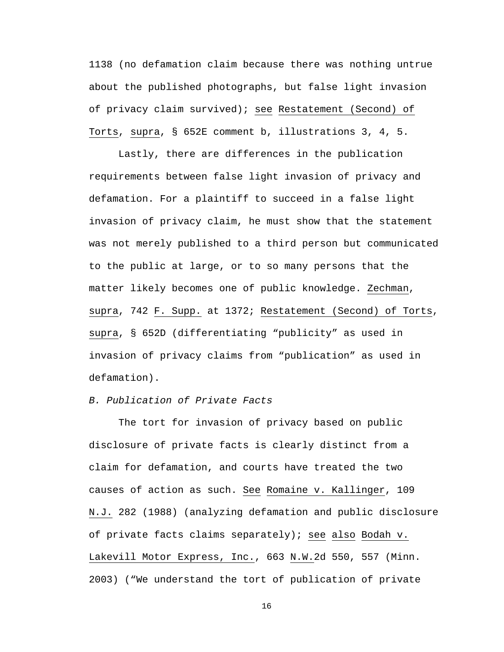1138 (no defamation claim because there was nothing untrue about the published photographs, but false light invasion of privacy claim survived); see Restatement (Second) of Torts, supra, § 652E comment b, illustrations 3, 4, 5.

Lastly, there are differences in the publication requirements between false light invasion of privacy and defamation. For a plaintiff to succeed in a false light invasion of privacy claim, he must show that the statement was not merely published to a third person but communicated to the public at large, or to so many persons that the matter likely becomes one of public knowledge. Zechman, supra, 742 F. Supp. at 1372; Restatement (Second) of Torts, supra, § 652D (differentiating "publicity" as used in invasion of privacy claims from "publication" as used in defamation).

## *B. Publication of Private Facts*

The tort for invasion of privacy based on public disclosure of private facts is clearly distinct from a claim for defamation, and courts have treated the two causes of action as such. See Romaine v. Kallinger, 109 N.J. 282 (1988) (analyzing defamation and public disclosure of private facts claims separately); see also Bodah v. Lakevill Motor Express, Inc., 663 N.W.2d 550, 557 (Minn. 2003) ("We understand the tort of publication of private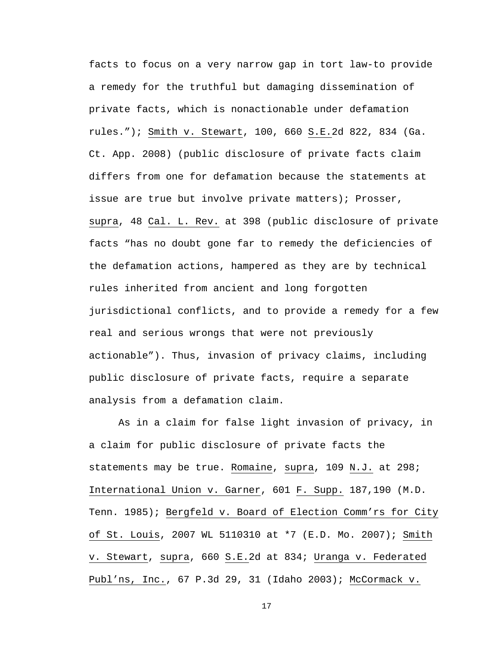facts to focus on a very narrow gap in tort law-to provide a remedy for the truthful but damaging dissemination of private facts, which is nonactionable under defamation rules."); Smith v. Stewart, 100, 660 S.E.2d 822, 834 (Ga. Ct. App. 2008) (public disclosure of private facts claim differs from one for defamation because the statements at issue are true but involve private matters); Prosser, supra, 48 Cal. L. Rev. at 398 (public disclosure of private facts "has no doubt gone far to remedy the deficiencies of the defamation actions, hampered as they are by technical rules inherited from ancient and long forgotten jurisdictional conflicts, and to provide a remedy for a few real and serious wrongs that were not previously actionable"). Thus, invasion of privacy claims, including public disclosure of private facts, require a separate analysis from a defamation claim.

As in a claim for false light invasion of privacy, in a claim for public disclosure of private facts the statements may be true. Romaine, supra, 109 N.J. at 298; International Union v. Garner, 601 F. Supp. 187,190 (M.D. Tenn. 1985); Bergfeld v. Board of Election Comm'rs for City of St. Louis, 2007 WL 5110310 at \*7 (E.D. Mo. 2007); Smith v. Stewart, supra, 660 S.E.2d at 834; Uranga v. Federated Publ'ns, Inc., 67 P.3d 29, 31 (Idaho 2003); McCormack v.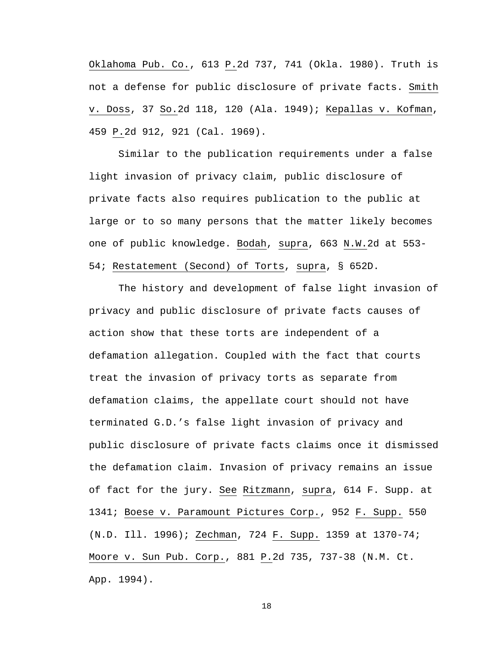Oklahoma Pub. Co., 613 P.2d 737, 741 (Okla. 1980). Truth is not a defense for public disclosure of private facts. Smith v. Doss, 37 So.2d 118, 120 (Ala. 1949); Kepallas v. Kofman, 459 P.2d 912, 921 (Cal. 1969).

Similar to the publication requirements under a false light invasion of privacy claim, public disclosure of private facts also requires publication to the public at large or to so many persons that the matter likely becomes one of public knowledge. Bodah, supra, 663 N.W.2d at 553- 54; Restatement (Second) of Torts, supra, § 652D.

The history and development of false light invasion of privacy and public disclosure of private facts causes of action show that these torts are independent of a defamation allegation. Coupled with the fact that courts treat the invasion of privacy torts as separate from defamation claims, the appellate court should not have terminated G.D.'s false light invasion of privacy and public disclosure of private facts claims once it dismissed the defamation claim. Invasion of privacy remains an issue of fact for the jury. See Ritzmann, supra, 614 F. Supp. at 1341; Boese v. Paramount Pictures Corp., 952 F. Supp. 550 (N.D. Ill. 1996); Zechman, 724 F. Supp. 1359 at 1370-74; Moore v. Sun Pub. Corp., 881 P.2d 735, 737-38 (N.M. Ct. App. 1994).